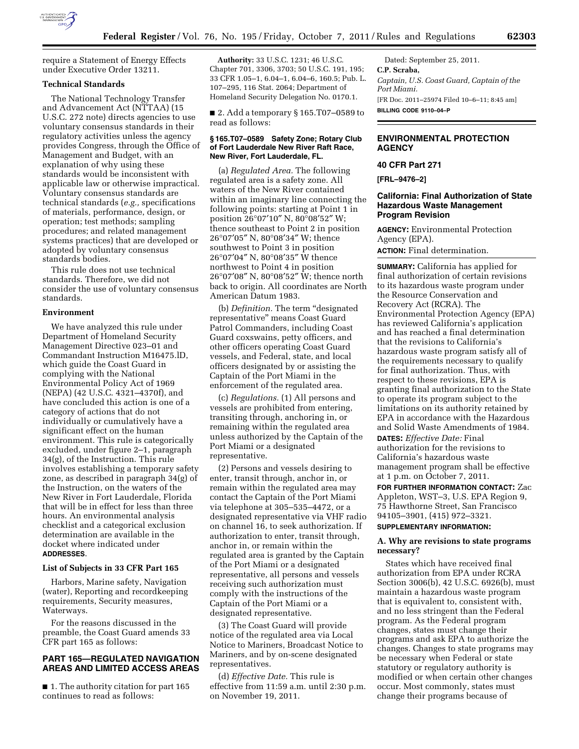

require a Statement of Energy Effects under Executive Order 13211.

## **Technical Standards**

The National Technology Transfer and Advancement Act (NTTAA) (15 U.S.C. 272 note) directs agencies to use voluntary consensus standards in their regulatory activities unless the agency provides Congress, through the Office of Management and Budget, with an explanation of why using these standards would be inconsistent with applicable law or otherwise impractical. Voluntary consensus standards are technical standards (*e.g.,* specifications of materials, performance, design, or operation; test methods; sampling procedures; and related management systems practices) that are developed or adopted by voluntary consensus standards bodies.

This rule does not use technical standards. Therefore, we did not consider the use of voluntary consensus standards.

# **Environment**

We have analyzed this rule under Department of Homeland Security Management Directive 023–01 and Commandant Instruction M16475.lD, which guide the Coast Guard in complying with the National Environmental Policy Act of 1969 (NEPA) (42 U.S.C. 4321–4370f), and have concluded this action is one of a category of actions that do not individually or cumulatively have a significant effect on the human environment. This rule is categorically excluded, under figure 2–1, paragraph 34(g), of the Instruction. This rule involves establishing a temporary safety zone, as described in paragraph 34(g) of the Instruction, on the waters of the New River in Fort Lauderdale, Florida that will be in effect for less than three hours. An environmental analysis checklist and a categorical exclusion determination are available in the docket where indicated under **ADDRESSES**.

#### **List of Subjects in 33 CFR Part 165**

Harbors, Marine safety, Navigation (water), Reporting and recordkeeping requirements, Security measures, Waterways.

For the reasons discussed in the preamble, the Coast Guard amends 33 CFR part 165 as follows:

# **PART 165—REGULATED NAVIGATION AREAS AND LIMITED ACCESS AREAS**

■ 1. The authority citation for part 165 continues to read as follows:

**Authority:** 33 U.S.C. 1231; 46 U.S.C. Chapter 701, 3306, 3703; 50 U.S.C. 191, 195; 33 CFR 1.05–1, 6.04–1, 6.04–6, 160.5; Pub. L. 107–295, 116 Stat. 2064; Department of Homeland Security Delegation No. 0170.1.

■ 2. Add a temporary § 165.T07-0589 to read as follows:

## **§ 165.T07–0589 Safety Zone; Rotary Club of Fort Lauderdale New River Raft Race, New River, Fort Lauderdale, FL.**

(a) *Regulated Area.* The following regulated area is a safety zone. All waters of the New River contained within an imaginary line connecting the following points: starting at Point 1 in position 26°07′10″ N, 80°08′52″ W; thence southeast to Point 2 in position 26°07′05″ N, 80°08′34″ W; thence southwest to Point 3 in position 26°07′04″ N, 80°08′35″ W thence northwest to Point 4 in position 26°07′08″ N, 80°08′52″ W; thence north back to origin. All coordinates are North American Datum 1983.

(b) *Definition.* The term ''designated representative'' means Coast Guard Patrol Commanders, including Coast Guard coxswains, petty officers, and other officers operating Coast Guard vessels, and Federal, state, and local officers designated by or assisting the Captain of the Port Miami in the enforcement of the regulated area.

(c) *Regulations.* (1) All persons and vessels are prohibited from entering, transiting through, anchoring in, or remaining within the regulated area unless authorized by the Captain of the Port Miami or a designated representative.

(2) Persons and vessels desiring to enter, transit through, anchor in, or remain within the regulated area may contact the Captain of the Port Miami via telephone at 305–535–4472, or a designated representative via VHF radio on channel 16, to seek authorization. If authorization to enter, transit through, anchor in, or remain within the regulated area is granted by the Captain of the Port Miami or a designated representative, all persons and vessels receiving such authorization must comply with the instructions of the Captain of the Port Miami or a designated representative.

(3) The Coast Guard will provide notice of the regulated area via Local Notice to Mariners, Broadcast Notice to Mariners, and by on-scene designated representatives.

(d) *Effective Date.* This rule is effective from 11:59 a.m. until 2:30 p.m. on November 19, 2011.

Dated: September 25, 2011. **C.P. Scraba,**  *Captain, U.S. Coast Guard, Captain of the Port Miami.*  [FR Doc. 2011–25974 Filed 10–6–11; 8:45 am] **BILLING CODE 9110–04–P** 

# **ENVIRONMENTAL PROTECTION AGENCY**

# **40 CFR Part 271**

**[FRL–9476–2]** 

## **California: Final Authorization of State Hazardous Waste Management Program Revision**

**AGENCY:** Environmental Protection Agency (EPA). **ACTION:** Final determination.

**SUMMARY:** California has applied for final authorization of certain revisions to its hazardous waste program under the Resource Conservation and Recovery Act (RCRA). The Environmental Protection Agency (EPA) has reviewed California's application and has reached a final determination that the revisions to California's hazardous waste program satisfy all of the requirements necessary to qualify for final authorization. Thus, with respect to these revisions, EPA is granting final authorization to the State to operate its program subject to the limitations on its authority retained by EPA in accordance with the Hazardous and Solid Waste Amendments of 1984.

**DATES:** *Effective Date:* Final authorization for the revisions to California's hazardous waste management program shall be effective at 1 p.m. on October 7, 2011.

**FOR FURTHER INFORMATION CONTACT:** Zac Appleton, WST–3, U.S. EPA Region 9, 75 Hawthorne Street, San Francisco 94105–3901, (415) 972–3321.

## **SUPPLEMENTARY INFORMATION:**

## **A. Why are revisions to state programs necessary?**

States which have received final authorization from EPA under RCRA Section 3006(b), 42 U.S.C. 6926(b), must maintain a hazardous waste program that is equivalent to, consistent with, and no less stringent than the Federal program. As the Federal program changes, states must change their programs and ask EPA to authorize the changes. Changes to state programs may be necessary when Federal or state statutory or regulatory authority is modified or when certain other changes occur. Most commonly, states must change their programs because of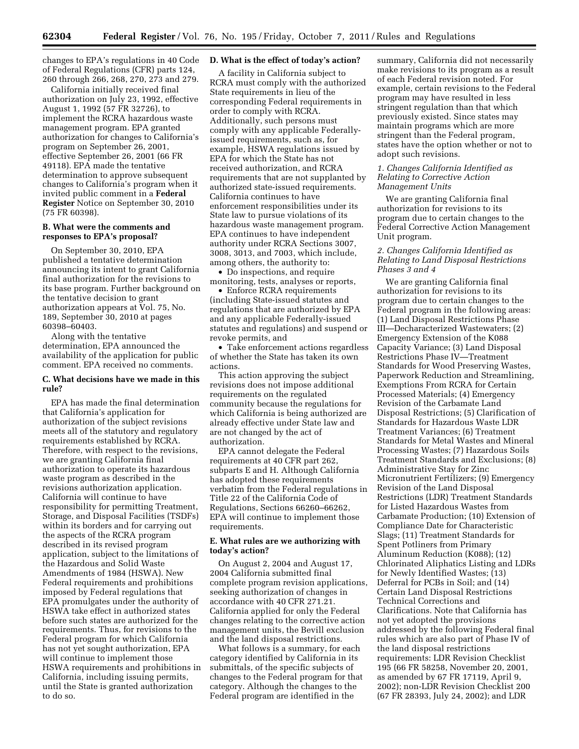changes to EPA's regulations in 40 Code of Federal Regulations (CFR) parts 124, 260 through 266, 268, 270, 273 and 279.

California initially received final authorization on July 23, 1992, effective August 1, 1992 (57 FR 32726), to implement the RCRA hazardous waste management program. EPA granted authorization for changes to California's program on September 26, 2001, effective September 26, 2001 (66 FR 49118). EPA made the tentative determination to approve subsequent changes to California's program when it invited public comment in a **Federal Register** Notice on September 30, 2010 (75 FR 60398).

## **B. What were the comments and responses to EPA's proposal?**

On September 30, 2010, EPA published a tentative determination announcing its intent to grant California final authorization for the revisions to its base program. Further background on the tentative decision to grant authorization appears at Vol. 75, No. 189, September 30, 2010 at pages 60398–60403.

Along with the tentative determination, EPA announced the availability of the application for public comment. EPA received no comments.

## **C. What decisions have we made in this rule?**

EPA has made the final determination that California's application for authorization of the subject revisions meets all of the statutory and regulatory requirements established by RCRA. Therefore, with respect to the revisions, we are granting California final authorization to operate its hazardous waste program as described in the revisions authorization application. California will continue to have responsibility for permitting Treatment, Storage, and Disposal Facilities (TSDFs) within its borders and for carrying out the aspects of the RCRA program described in its revised program application, subject to the limitations of the Hazardous and Solid Waste Amendments of 1984 (HSWA). New Federal requirements and prohibitions imposed by Federal regulations that EPA promulgates under the authority of HSWA take effect in authorized states before such states are authorized for the requirements. Thus, for revisions to the Federal program for which California has not yet sought authorization, EPA will continue to implement those HSWA requirements and prohibitions in California, including issuing permits, until the State is granted authorization to do so.

### **D. What is the effect of today's action?**

A facility in California subject to RCRA must comply with the authorized State requirements in lieu of the corresponding Federal requirements in order to comply with RCRA. Additionally, such persons must comply with any applicable Federallyissued requirements, such as, for example, HSWA regulations issued by EPA for which the State has not received authorization, and RCRA requirements that are not supplanted by authorized state-issued requirements. California continues to have enforcement responsibilities under its State law to pursue violations of its hazardous waste management program. EPA continues to have independent authority under RCRA Sections 3007, 3008, 3013, and 7003, which include, among others, the authority to:

• Do inspections, and require monitoring, tests, analyses or reports,

• Enforce RCRA requirements (including State-issued statutes and regulations that are authorized by EPA and any applicable Federally-issued statutes and regulations) and suspend or revoke permits, and

• Take enforcement actions regardless of whether the State has taken its own actions.

This action approving the subject revisions does not impose additional requirements on the regulated community because the regulations for which California is being authorized are already effective under State law and are not changed by the act of authorization.

EPA cannot delegate the Federal requirements at 40 CFR part 262, subparts E and H. Although California has adopted these requirements verbatim from the Federal regulations in Title 22 of the California Code of Regulations, Sections 66260–66262, EPA will continue to implement those requirements.

### **E. What rules are we authorizing with today's action?**

On August 2, 2004 and August 17, 2004 California submitted final complete program revision applications, seeking authorization of changes in accordance with 40 CFR 271.21. California applied for only the Federal changes relating to the corrective action management units, the Bevill exclusion and the land disposal restrictions.

What follows is a summary, for each category identified by California in its submittals, of the specific subjects of changes to the Federal program for that category. Although the changes to the Federal program are identified in the

summary, California did not necessarily make revisions to its program as a result of each Federal revision noted. For example, certain revisions to the Federal program may have resulted in less stringent regulation than that which previously existed. Since states may maintain programs which are more stringent than the Federal program, states have the option whether or not to adopt such revisions.

#### *1. Changes California Identified as Relating to Corrective Action Management Units*

We are granting California final authorization for revisions to its program due to certain changes to the Federal Corrective Action Management Unit program.

# *2. Changes California Identified as Relating to Land Disposal Restrictions Phases 3 and 4*

We are granting California final authorization for revisions to its program due to certain changes to the Federal program in the following areas: (1) Land Disposal Restrictions Phase III—Decharacterized Wastewaters; (2) Emergency Extension of the K088 Capacity Variance; (3) Land Disposal Restrictions Phase IV—Treatment Standards for Wood Preserving Wastes, Paperwork Reduction and Streamlining, Exemptions From RCRA for Certain Processed Materials; (4) Emergency Revision of the Carbamate Land Disposal Restrictions; (5) Clarification of Standards for Hazardous Waste LDR Treatment Variances; (6) Treatment Standards for Metal Wastes and Mineral Processing Wastes; (7) Hazardous Soils Treatment Standards and Exclusions; (8) Administrative Stay for Zinc Micronutrient Fertilizers; (9) Emergency Revision of the Land Disposal Restrictions (LDR) Treatment Standards for Listed Hazardous Wastes from Carbamate Production; (10) Extension of Compliance Date for Characteristic Slags; (11) Treatment Standards for Spent Potliners from Primary Aluminum Reduction (K088); (12) Chlorinated Aliphatics Listing and LDRs for Newly Identified Wastes; (13) Deferral for PCBs in Soil; and (14) Certain Land Disposal Restrictions Technical Corrections and Clarifications. Note that California has not yet adopted the provisions addressed by the following Federal final rules which are also part of Phase IV of the land disposal restrictions requirements: LDR Revision Checklist 195 (66 FR 58258, November 20, 2001, as amended by 67 FR 17119, April 9, 2002); non-LDR Revision Checklist 200 (67 FR 28393, July 24, 2002); and LDR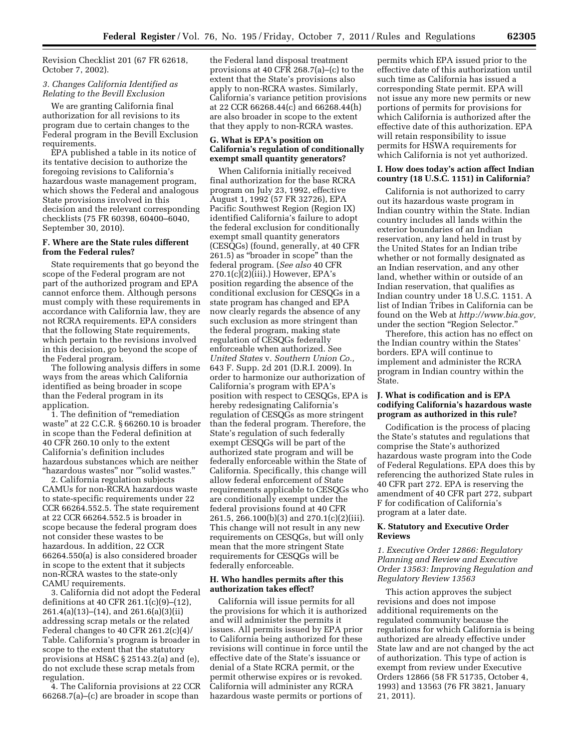Revision Checklist 201 (67 FR 62618, October 7, 2002).

#### *3. Changes California Identified as Relating to the Bevill Exclusion*

We are granting California final authorization for all revisions to its program due to certain changes to the Federal program in the Bevill Exclusion requirements.

EPA published a table in its notice of its tentative decision to authorize the foregoing revisions to California's hazardous waste management program, which shows the Federal and analogous State provisions involved in this decision and the relevant corresponding checklists (75 FR 60398, 60400–6040, September 30, 2010).

### **F. Where are the State rules different from the Federal rules?**

State requirements that go beyond the scope of the Federal program are not part of the authorized program and EPA cannot enforce them. Although persons must comply with these requirements in accordance with California law, they are not RCRA requirements. EPA considers that the following State requirements, which pertain to the revisions involved in this decision, go beyond the scope of the Federal program.

The following analysis differs in some ways from the areas which California identified as being broader in scope than the Federal program in its application.

1. The definition of ''remediation waste'' at 22 C.C.R. § 66260.10 is broader in scope than the Federal definition at 40 CFR 260.10 only to the extent California's definition includes hazardous substances which are neither ''hazardous wastes'' nor '''solid wastes.''

2. California regulation subjects CAMUs for non-RCRA hazardous waste to state-specific requirements under 22 CCR 66264.552.5. The state requirement at 22 CCR 66264.552.5 is broader in scope because the federal program does not consider these wastes to be hazardous. In addition, 22 CCR 66264.550(a) is also considered broader in scope to the extent that it subjects non-RCRA wastes to the state-only CAMU requirements.

3. California did not adopt the Federal definitions at 40 CFR 261.1(c)(9)–(12), 261.4(a)(13)–(14), and 261.6(a)(3)(ii) addressing scrap metals or the related Federal changes to 40 CFR 261.2(c)(4)/ Table. California's program is broader in scope to the extent that the statutory provisions at HS&C § 25143.2(a) and (e), do not exclude these scrap metals from regulation.

4. The California provisions at 22 CCR 66268.7(a)–(c) are broader in scope than

the Federal land disposal treatment provisions at 40 CFR 268.7(a)–(c) to the extent that the State's provisions also apply to non-RCRA wastes. Similarly, California's variance petition provisions at 22 CCR 66268.44(c) and 66268.44(h) are also broader in scope to the extent that they apply to non-RCRA wastes.

## **G. What is EPA's position on California's regulation of conditionally exempt small quantity generators?**

When California initially received final authorization for the base RCRA program on July 23, 1992, effective August 1, 1992 (57 FR 32726), EPA Pacific Southwest Region (Region IX) identified California's failure to adopt the federal exclusion for conditionally exempt small quantity generators (CESQGs) (found, generally, at 40 CFR 261.5) as ''broader in scope'' than the federal program. (*See also* 40 CFR 270.1(c)(2)(iii).) However, EPA's position regarding the absence of the conditional exclusion for CESQGs in a state program has changed and EPA now clearly regards the absence of any such exclusion as more stringent than the federal program, making state regulation of CESQGs federally enforceable when authorized. See *United States* v. *Southern Union Co.,*  643 F. Supp. 2d 201 (D.R.I. 2009). In order to harmonize our authorization of California's program with EPA's position with respect to CESQGs, EPA is hereby redesignating California's regulation of CESQGs as more stringent than the federal program. Therefore, the State's regulation of such federally exempt CESQGs will be part of the authorized state program and will be federally enforceable within the State of California. Specifically, this change will allow federal enforcement of State requirements applicable to CESQGs who are conditionally exempt under the federal provisions found at 40 CFR 261.5, 266.100(b)(3) and 270.1(c)(2)(iii). This change will not result in any new requirements on CESQGs, but will only mean that the more stringent State requirements for CESQGs will be federally enforceable.

#### **H. Who handles permits after this authorization takes effect?**

California will issue permits for all the provisions for which it is authorized and will administer the permits it issues. All permits issued by EPA prior to California being authorized for these revisions will continue in force until the effective date of the State's issuance or denial of a State RCRA permit, or the permit otherwise expires or is revoked. California will administer any RCRA hazardous waste permits or portions of

permits which EPA issued prior to the effective date of this authorization until such time as California has issued a corresponding State permit. EPA will not issue any more new permits or new portions of permits for provisions for which California is authorized after the effective date of this authorization. EPA will retain responsibility to issue permits for HSWA requirements for which California is not yet authorized.

### **I. How does today's action affect Indian country (18 U.S.C. 1151) in California?**

California is not authorized to carry out its hazardous waste program in Indian country within the State. Indian country includes all lands within the exterior boundaries of an Indian reservation, any land held in trust by the United States for an Indian tribe whether or not formally designated as an Indian reservation, and any other land, whether within or outside of an Indian reservation, that qualifies as Indian country under 18 U.S.C. 1151. A list of Indian Tribes in California can be found on the Web at *[http://www.bia.gov,](http://www.bia.gov)*  under the section ''Region Selector.''

Therefore, this action has no effect on the Indian country within the States' borders. EPA will continue to implement and administer the RCRA program in Indian country within the State.

# **J. What is codification and is EPA codifying California's hazardous waste program as authorized in this rule?**

Codification is the process of placing the State's statutes and regulations that comprise the State's authorized hazardous waste program into the Code of Federal Regulations. EPA does this by referencing the authorized State rules in 40 CFR part 272. EPA is reserving the amendment of 40 CFR part 272, subpart F for codification of California's program at a later date.

### **K. Statutory and Executive Order Reviews**

# *1. Executive Order 12866: Regulatory Planning and Review and Executive Order 13563: Improving Regulation and Regulatory Review 13563*

This action approves the subject revisions and does not impose additional requirements on the regulated community because the regulations for which California is being authorized are already effective under State law and are not changed by the act of authorization. This type of action is exempt from review under Executive Orders 12866 (58 FR 51735, October 4, 1993) and 13563 (76 FR 3821, January 21, 2011).